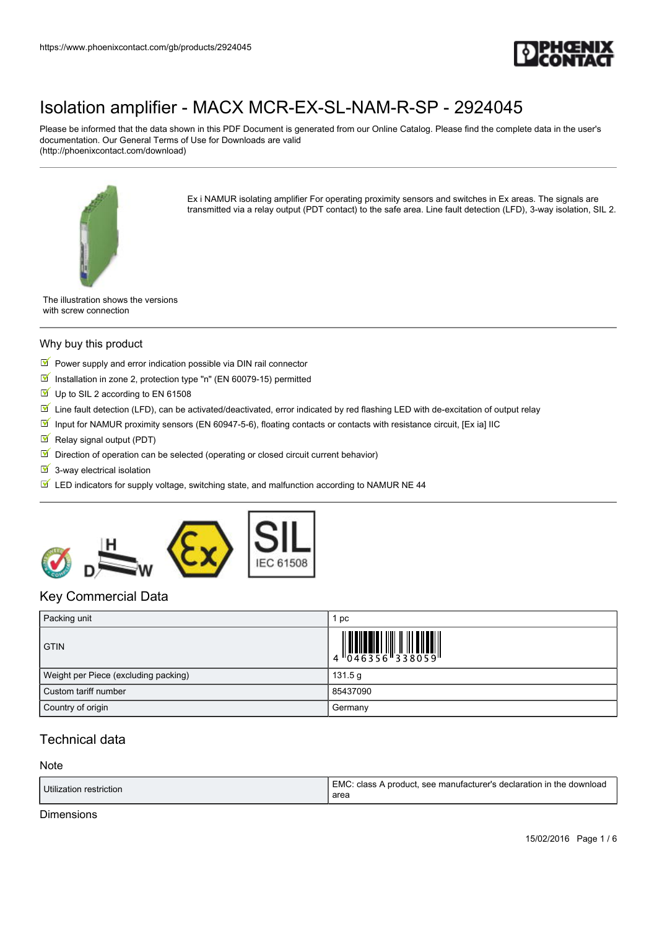

Please be informed that the data shown in this PDF Document is generated from our Online Catalog. Please find the complete data in the user's documentation. Our General Terms of Use for Downloads are valid (http://phoenixcontact.com/download)



Ex i NAMUR isolating amplifier For operating proximity sensors and switches in Ex areas. The signals are transmitted via a relay output (PDT contact) to the safe area. Line fault detection (LFD), 3-way isolation, SIL 2.

The illustration shows the versions with screw connection

#### Why buy this product

- $\triangleright$  Power supply and error indication possible via DIN rail connector
- $\blacksquare$  Installation in zone 2, protection type "n" (EN 60079-15) permitted
- $\blacksquare$  Up to SIL 2 according to EN 61508
- $\blacksquare$  Line fault detection (LFD), can be activated/deactivated, error indicated by red flashing LED with de-excitation of output relay
- Input for NAMUR proximity sensors (EN 60947-5-6), floating contacts or contacts with resistance circuit, [Ex ia] IIC
- $\blacksquare$  Relay signal output (PDT)
- $\blacksquare$  Direction of operation can be selected (operating or closed circuit current behavior)
- $\overline{\mathbf{y}}$  3-way electrical isolation
- $\boxed{\mathbb{M}}$  LED indicators for supply voltage, switching state, and malfunction according to NAMUR NE 44



### Key Commercial Data

| Packing unit                         | рc       |
|--------------------------------------|----------|
| <b>GTIN</b>                          |          |
| Weight per Piece (excluding packing) | 131.5 g  |
| Custom tariff number                 | 85437090 |
| Country of origin                    | Germany  |

### Technical data

#### **Note**

| Utilization restriction | l EMC: class A product, see manufacturer's declaration in the download<br>area |
|-------------------------|--------------------------------------------------------------------------------|
|-------------------------|--------------------------------------------------------------------------------|

Dimensions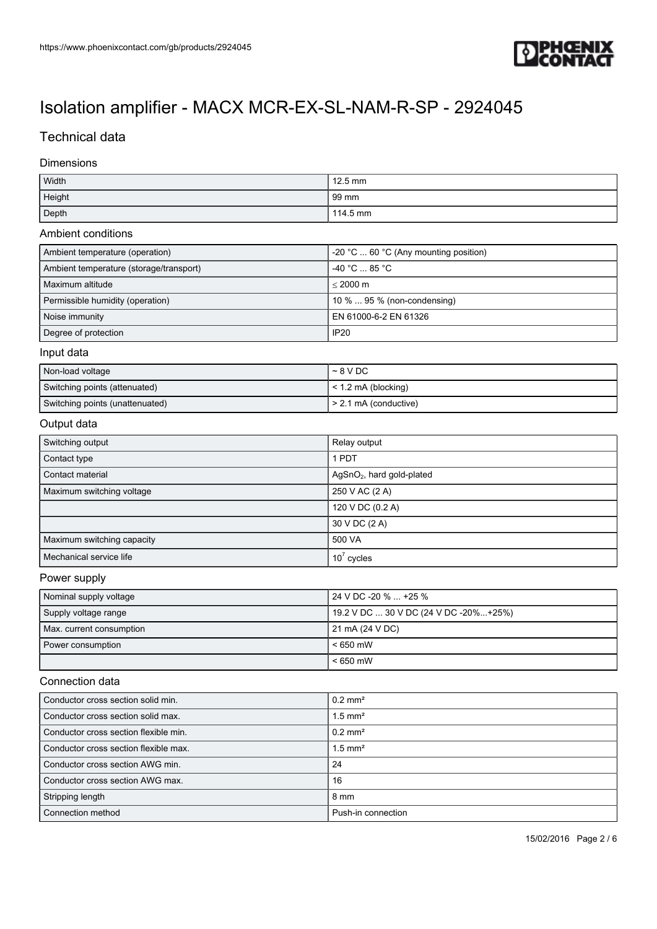

## Technical data

#### Dimensions

| Width                                   | 12.5 mm                               |  |
|-----------------------------------------|---------------------------------------|--|
| Height                                  | 99 mm                                 |  |
| Depth                                   | 114.5 mm                              |  |
| Ambient conditions                      |                                       |  |
| Ambient temperature (operation)         | -20 °C  60 °C (Any mounting position) |  |
| Ambient temperature (storage/transport) | -40 °C  85 °C                         |  |
| Maximum altitude                        | $\leq$ 2000 m                         |  |
| Permissible humidity (operation)        | 10 %  95 % (non-condensing)           |  |
| Noise immunity                          | EN 61000-6-2 EN 61326                 |  |
| Degree of protection                    | <b>IP20</b>                           |  |
| Input data                              |                                       |  |
| Non-load voltage                        | $~5$ V DC                             |  |
| Switching points (attenuated)           | < 1.2 mA (blocking)                   |  |
| Switching points (unattenuated)         | > 2.1 mA (conductive)                 |  |
| Output data                             |                                       |  |
| Switching output                        | Relay output                          |  |
| Contact type                            | 1 PDT                                 |  |
| Contact material                        | AgSnO <sub>2</sub> , hard gold-plated |  |
| Maximum switching voltage               | 250 V AC (2 A)                        |  |
|                                         | 120 V DC (0.2 A)                      |  |
|                                         | 30 V DC (2 A)                         |  |
| Maximum switching capacity              | 500 VA                                |  |
| Mechanical service life                 | $10^7$ cycles                         |  |
| Power supply                            |                                       |  |
| Nominal supply voltage                  | 24 V DC -20 %  +25 %                  |  |
| Supply voltage range                    | 19.2 V DC  30 V DC (24 V DC -20%+25%) |  |
| Max. current consumption                | 21 mA (24 V DC)                       |  |
| Power consumption                       | $< 650$ mW                            |  |
|                                         | $< 650$ mW                            |  |
| Connection data                         |                                       |  |
| Conductor cross section solid min.      | $0.2$ mm <sup>2</sup>                 |  |
| Conductor cross section solid max.      | $1.5$ mm <sup>2</sup>                 |  |
| Conductor cross section flexible min.   | $0.2$ mm <sup>2</sup>                 |  |
| Conductor cross section flexible max.   | $1.5$ mm <sup>2</sup>                 |  |
| Conductor cross section AWG min.        | 24                                    |  |
| Conductor cross section AWG max.        | 16                                    |  |
| Stripping length                        | 8 mm                                  |  |
| Connection method                       | Push-in connection                    |  |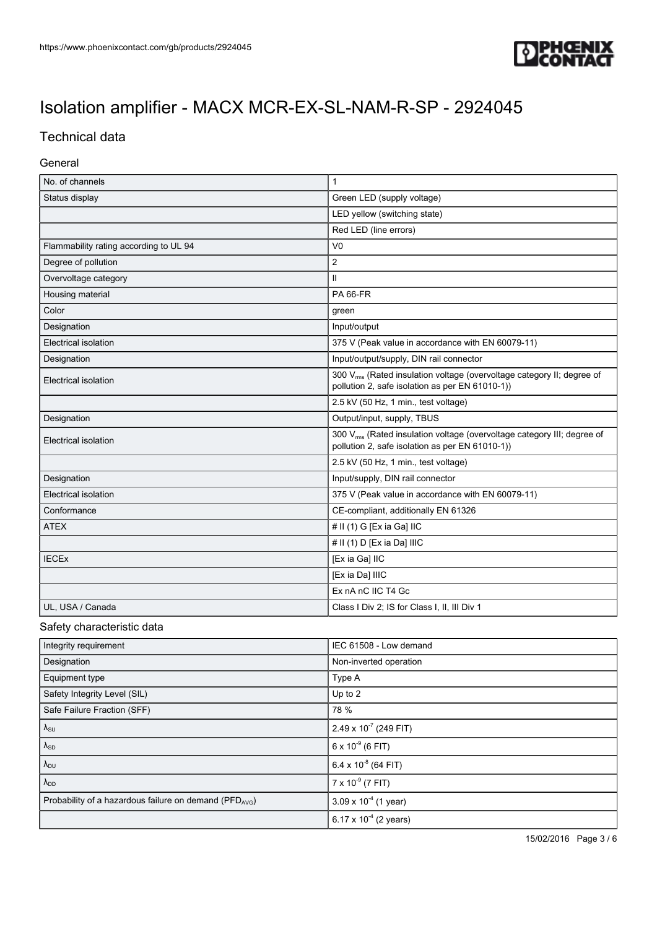

## Technical data

#### General

| No. of channels                        | $\mathbf{1}$                                                                                                                           |
|----------------------------------------|----------------------------------------------------------------------------------------------------------------------------------------|
| Status display                         | Green LED (supply voltage)                                                                                                             |
|                                        | LED yellow (switching state)                                                                                                           |
|                                        | Red LED (line errors)                                                                                                                  |
| Flammability rating according to UL 94 | V <sub>0</sub>                                                                                                                         |
| Degree of pollution                    | $\overline{c}$                                                                                                                         |
| Overvoltage category                   | $\mathbf{II}$                                                                                                                          |
| Housing material                       | <b>PA 66-FR</b>                                                                                                                        |
| Color                                  | green                                                                                                                                  |
| Designation                            | Input/output                                                                                                                           |
| Electrical isolation                   | 375 V (Peak value in accordance with EN 60079-11)                                                                                      |
| Designation                            | Input/output/supply, DIN rail connector                                                                                                |
| Electrical isolation                   | 300 V <sub>ms</sub> (Rated insulation voltage (overvoltage category II; degree of<br>pollution 2, safe isolation as per EN 61010-1))   |
|                                        | 2.5 kV (50 Hz, 1 min., test voltage)                                                                                                   |
| Designation                            | Output/input, supply, TBUS                                                                                                             |
| Electrical isolation                   | 300 V <sub>rms</sub> (Rated insulation voltage (overvoltage category III; degree of<br>pollution 2, safe isolation as per EN 61010-1)) |
|                                        | 2.5 kV (50 Hz, 1 min., test voltage)                                                                                                   |
| Designation                            | Input/supply, DIN rail connector                                                                                                       |
| Electrical isolation                   | 375 V (Peak value in accordance with EN 60079-11)                                                                                      |
| Conformance                            | CE-compliant, additionally EN 61326                                                                                                    |
| <b>ATEX</b>                            | # II (1) G [Ex ia Ga] IIC                                                                                                              |
|                                        | # II (1) D [Ex ia Da] IIIC                                                                                                             |
| <b>IECEx</b>                           | [Ex ia Ga] IIC                                                                                                                         |
|                                        | [Ex ia Da] IIIC                                                                                                                        |
|                                        | Ex nA nC IIC T4 Gc                                                                                                                     |
| UL, USA / Canada                       | Class I Div 2; IS for Class I, II, III Div 1                                                                                           |

#### Safety characteristic data

| Integrity requirement                                              | IEC 61508 - Low demand         |
|--------------------------------------------------------------------|--------------------------------|
| Designation                                                        | Non-inverted operation         |
| Equipment type                                                     | Type A                         |
| Safety Integrity Level (SIL)                                       | Up to 2                        |
| Safe Failure Fraction (SFF)                                        | 78 %                           |
| $\lambda_{\text{SU}}$                                              | 2.49 x $10^7$ (249 FIT)        |
| $\lambda_{SD}$                                                     | $6 \times 10^{-9}$ (6 FIT)     |
| $\lambda_{\text{DU}}$                                              | 6.4 x $10^{-8}$ (64 FIT)       |
| $\lambda_{DD}$                                                     | $7 \times 10^{-9}$ (7 FIT)     |
| Probability of a hazardous failure on demand (PFD <sub>AVG</sub> ) | $3.09 \times 10^{-4}$ (1 year) |
|                                                                    | 6.17 x $10^{-4}$ (2 years)     |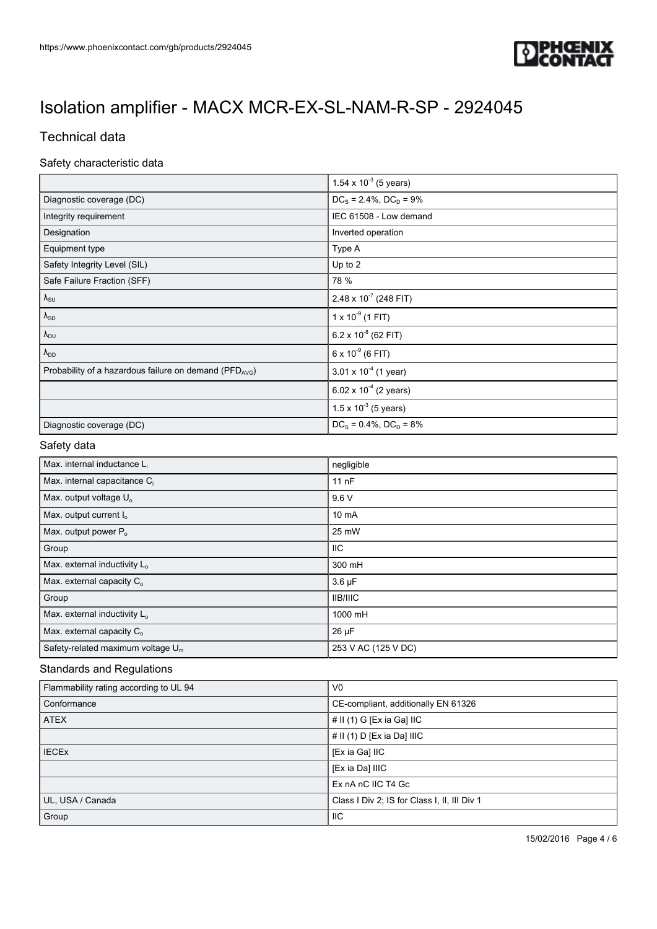

## Technical data

### Safety characteristic data

|                                                       | 1.54 x $10^{-3}$ (5 years)     |
|-------------------------------------------------------|--------------------------------|
| Diagnostic coverage (DC)                              | $DC_s = 2.4\%$ , $DC_D = 9\%$  |
| Integrity requirement                                 | IEC 61508 - Low demand         |
| Designation                                           | Inverted operation             |
| Equipment type                                        | Type A                         |
| Safety Integrity Level (SIL)                          | Up to 2                        |
| Safe Failure Fraction (SFF)                           | 78 %                           |
| $\lambda_{\text{SU}}$                                 | 2.48 x 10 $^7$ (248 FIT)       |
| $\lambda_{SD}$                                        | $1 \times 10^{-9}$ (1 FIT)     |
| $\lambda_{\text{DU}}$                                 | 6.2 x $10^{-8}$ (62 FIT)       |
| $\lambda_{DD}$                                        | $6 \times 10^{-9}$ (6 FIT)     |
| Probability of a hazardous failure on demand (PFDAVG) | $3.01 \times 10^{-4}$ (1 year) |
|                                                       | 6.02 x $10^{-4}$ (2 years)     |
|                                                       | $1.5 \times 10^{-3}$ (5 years) |
| Diagnostic coverage (DC)                              | $DC_s = 0.4\%$ , $DC_D = 8\%$  |

#### Safety data

| Max. internal inductance L <sub>i</sub>  | negligible          |
|------------------------------------------|---------------------|
| Max. internal capacitance C <sub>i</sub> | 11nF                |
| Max. output voltage U <sub>o</sub>       | 9.6V                |
| Max. output current I <sub>o</sub>       | 10 mA               |
| Max. output power P <sub>o</sub>         | 25 mW               |
| Group                                    | ШC                  |
| Max. external inductivity L <sub>o</sub> | 300 mH              |
| Max. external capacity $C_0$             | $3.6 \mu F$         |
| Group                                    | <b>IIB/IIIC</b>     |
| Max. external inductivity L <sub>o</sub> | 1000 mH             |
| Max. external capacity $C_0$             | $26 \mu F$          |
| Safety-related maximum voltage $U_m$     | 253 V AC (125 V DC) |

#### Standards and Regulations

| Flammability rating according to UL 94 | V <sub>0</sub>                               |
|----------------------------------------|----------------------------------------------|
| Conformance                            | CE-compliant, additionally EN 61326          |
| <b>ATEX</b>                            | # II (1) G [Ex ia Ga] IIC                    |
|                                        | # II (1) D [Ex ia Da] IIIC                   |
| <b>IECEX</b>                           | [Ex ia Ga] IIC                               |
|                                        | [Ex ia Da] IIIC                              |
|                                        | Ex nA nC IIC T4 Gc                           |
| UL, USA / Canada                       | Class I Div 2; IS for Class I, II, III Div 1 |
| Group                                  | <b>IIC</b>                                   |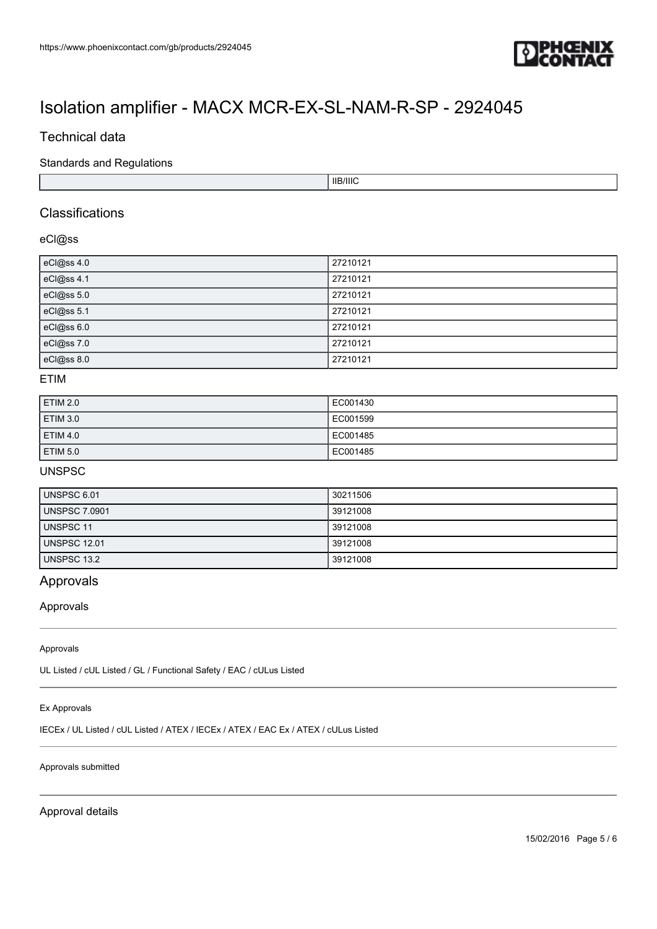

### Technical data

Standards and Regulations

IIB/IIIC

### Classifications

#### eCl@ss

| eCl@ss 4.0 | 27210121 |
|------------|----------|
| eCl@ss 4.1 | 27210121 |
| eCl@ss 5.0 | 27210121 |
| eCl@ss 5.1 | 27210121 |
| eCl@ss 6.0 | 27210121 |
| eCl@ss 7.0 | 27210121 |
| eCl@ss 8.0 | 27210121 |

#### ETIM

| ETIM 2.0            | EC001430 |
|---------------------|----------|
| <b>ETIM 3.0</b>     | EC001599 |
| ETIM 4.0            | EC001485 |
| ETIM <sub>5.0</sub> | EC001485 |

#### UNSPSC

| UNSPSC 6.01          | 30211506 |
|----------------------|----------|
| <b>UNSPSC 7.0901</b> | 39121008 |
| UNSPSC 11            | 39121008 |
| <b>UNSPSC 12.01</b>  | 39121008 |
| <b>UNSPSC 13.2</b>   | 39121008 |

### Approvals

#### Approvals

#### Approvals

UL Listed / cUL Listed / GL / Functional Safety / EAC / cULus Listed

#### Ex Approvals

IECEx / UL Listed / cUL Listed / ATEX / IECEx / ATEX / EAC Ex / ATEX / cULus Listed

#### Approvals submitted

Approval details